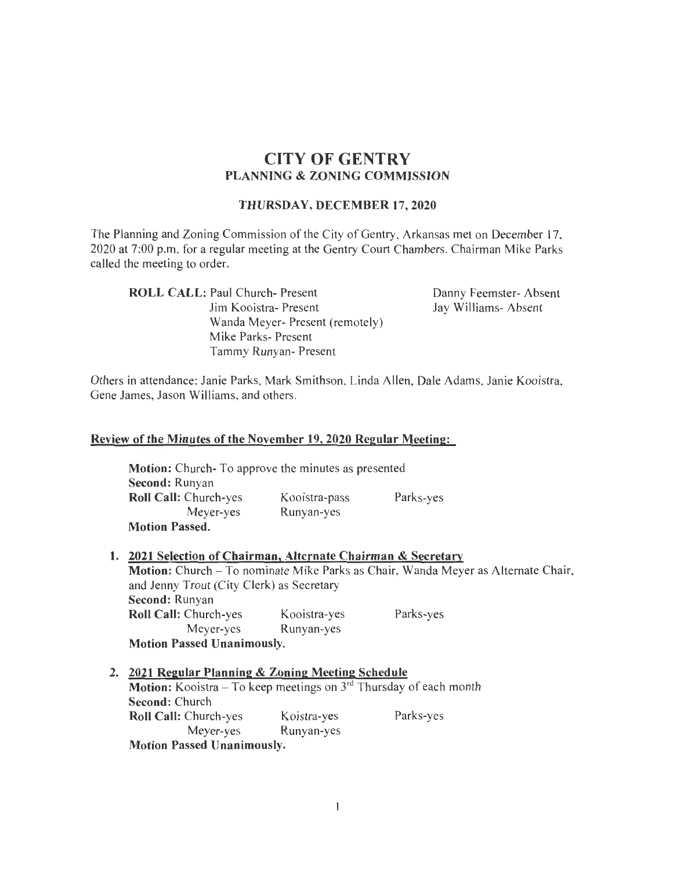# **CITY OF GENTRY PLANNING & ZONING COMMISSION**

#### **THURSDAY, DECEMBER 17,2020**

The Planning and Zoning Commission of the City of Gentry, Arkansas met on December 17, 2020 at 7:00 p.m. for a regular meeting at the Gentry Court Chambers. Chairman Mike Parks called the meeting to order.

**ROLL CALL:** Paul Church- Present Jim Kooistra- Present Wanda Meyer- Present (remotely) Mike Parks- Present Tammy Runyan- Present

Danny Feemster- Absent Jay Williams- Absent

Others in attendance: Janie Parks, Mark Smithson, Linda Allen, Dale Adams, Janie Kooistra, Gene James, Jason Williams, and others.

#### **Review of the Minutes of the November 19,2020 Regular Meeting:**

**Motion:** Church- To approve the minutes as presented **Second:** Runyan **Roll Call:** Church-yes Meyer-yes **Motion Passed.**  Kooistra-pass Runyan-yes Parks-yes

|                                   | 1. 2021 Selection of Chairman, Alternate Chairman & Secretary                     |              |           |  |  |
|-----------------------------------|-----------------------------------------------------------------------------------|--------------|-----------|--|--|
|                                   | Motion: Church – To nominate Mike Parks as Chair, Wanda Meyer as Alternate Chair, |              |           |  |  |
|                                   | and Jenny Trout (City Clerk) as Secretary                                         |              |           |  |  |
|                                   | Second: Runyan                                                                    |              |           |  |  |
|                                   | Roll Call: Church-yes                                                             | Kooistra-yes | Parks-yes |  |  |
|                                   | Meyer-yes                                                                         | Runyan-yes   |           |  |  |
| <b>Motion Passed Unanimously.</b> |                                                                                   |              |           |  |  |

## **2. 2021 Regular Planning & Zoning Meeting Schedule Motion:** Kooistra – To keep meetings on 3<sup>rd</sup> Thursday of each month **Second:** Church Roll Call: Church-yes Koistra-yes Parks-yes Meyer-yes Runyan-yes **Motion Passed Unanimously.**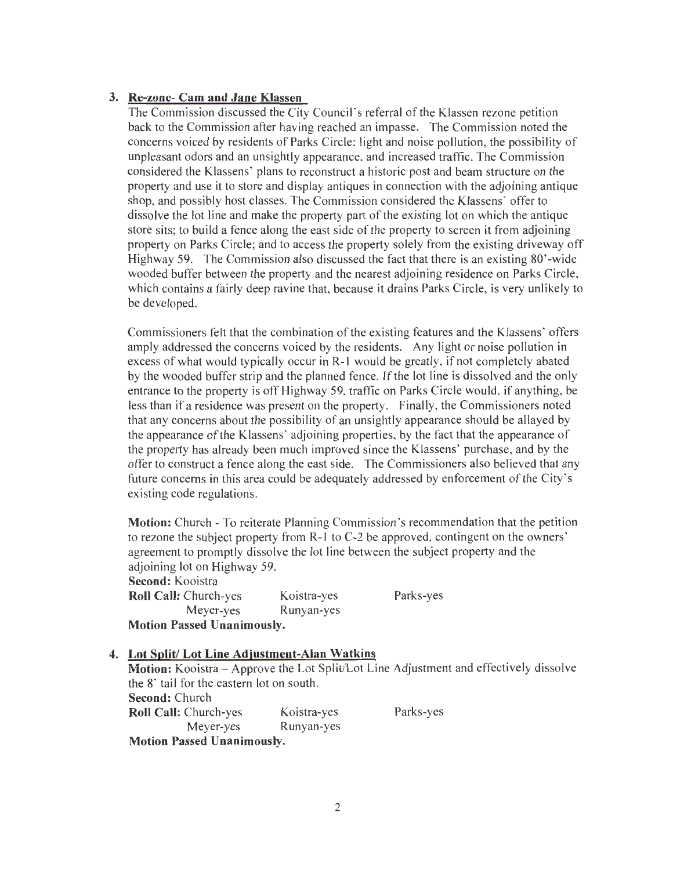## **3. Re-zone- Cam and Jane Klassen**

The Commission discussed the City Council's referral of the Klassen rezone petition back to the Commission after having reached an impasse. The Commission noted the concerns voiced by residents of Parks Circle: light and noise pollution, the possibility of unpleasant odors and an unsightly appearance, and increased traffic. The Commission considered the Klassens' plans to reconstruct a historic post and beam structure on the property and use it to store and display antiques in connection with the adjoining antique shop, and possibly host classes. The Commission considered the Klassens' offer to dissolve the lot line and make the property part of the existing lot on which the antique store sits; to build a fence along the east side of the property to screen it from adjoining property on Parks Circle; and to access the property solely from the existing driveway off Highway 59. The Commission also discussed the fact that there is an existing 80' -wide wooded buffer between the property and the nearest adjoining residence on Parks Circle, which contains a fairly deep ravine that, because it drains Parks Circle, is very unlikely to be developed.

Commissioners felt that the combination of the existing features and the Klassens' offers amply addressed the concerns voiced by the residents. Any light or noise pollution in excess of what would typically occur in R-1 would be greatly, if not completely abated by the wooded buffer strip and the planned fence. If the lot line is dissolved and the only entrance to the property is off Highway 59, traffic on Parks Circle would, if anything, be less than if a residence was present on the property. Finally, the Commissioners noted that any concerns about the possibility of an unsightly appearance should be allayed by the appearance of the Klassens' adjoining properties, by the fact that the appearance of the property has already been much improved since the Klassens' purchase, and by the offer to construct a fence along the east side. The Commissioners also believed that any future concerns in this area could be adequately addressed by enforcement of the City's existing code regulations.

**Motion:** Church- To reiterate Planning Commission's recommendation that the petition to rezone the subject property from R-1 to C-2 be approved, contingent on the owners' agreement to promptly dissolve the lot line between the subject property and the adjoining lot on Highway 59. **Second:** Kooistra **Roll Call:** Church-yes Koistra-yes Parks-yes Meyer-yes Runyan-yes **Motion Passed Unanimously.** 

### **4. Lot Split/ Lot Line Adjustment-Alan Watkins**

Motion: Kooistra - Approve the Lot Split/Lot Line Adjustment and effectively dissolve the 8' tail for the eastern lot on south. **Second:** Church **Roll Call:** Church-yes Koistra-yes Parks-yes Meyer-yes Runyan-yes **Motion Passed Unanimously.**